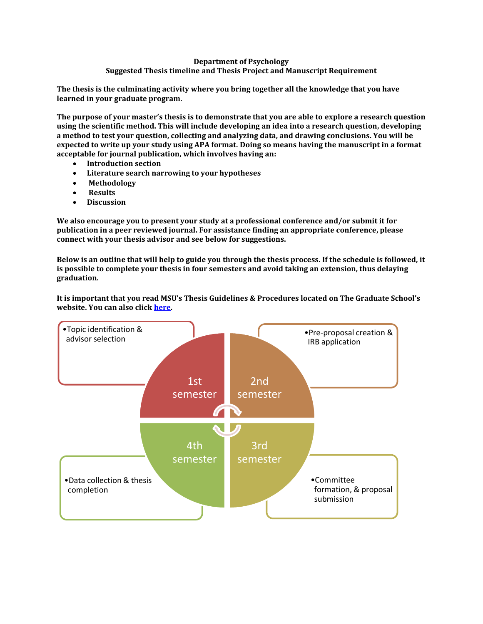#### **Department of Psychology**

#### **Suggested Thesis timeline and Thesis Project and Manuscript Requirement**

**The thesis is the culminating activity where you bring together all the knowledge that you have learned in your graduate program.** 

**The purpose of your master's thesis is to demonstrate that you are able to explore a research question using the scientific method. This will include developing an idea into a research question, developing a method to test your question, collecting and analyzing data, and drawing conclusions. You will be expected to write up your study using APA format. Doing so means having the manuscript in a format acceptable for journal publication, which involves having an:**

- **Introduction section**
- **Literature search narrowing to your hypotheses**
- **Methodology**
- **Results**
- **Discussion**

**We also encourage you to present your study at a professional conference and/or submit it for publication in a peer reviewed journal. For assistance finding an appropriate conference, please connect with your thesis advisor and see below for suggestions.** 

**Below is an outline that will help to guide you through the thesis process. If the schedule is followed, it is possible to complete your thesis in four semesters and avoid taking an extension, thus delaying graduation.** 

**It is important that you read MSU's Thesis Guidelines & Procedures located on The Graduate School's website. You can also click [here.](https://www.montclair.edu/graduate/current-students/culminating-activity/#thesis)** 

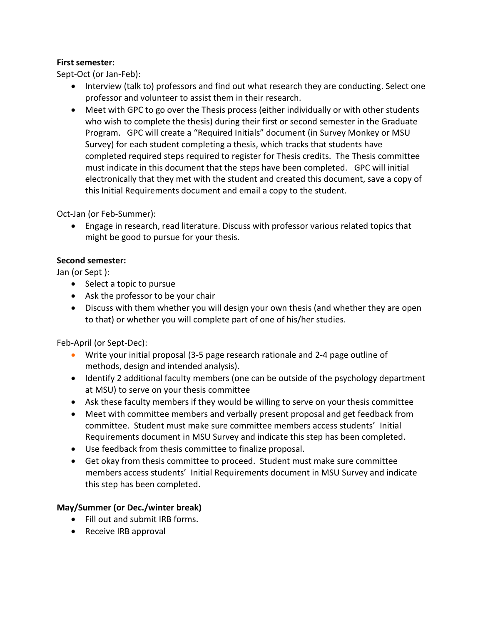## **First semester:**

Sept-Oct (or Jan-Feb):

- Interview (talk to) professors and find out what research they are conducting. Select one professor and volunteer to assist them in their research.
- Meet with GPC to go over the Thesis process (either individually or with other students who wish to complete the thesis) during their first or second semester in the Graduate Program. GPC will create a "Required Initials" document (in Survey Monkey or MSU Survey) for each student completing a thesis, which tracks that students have completed required steps required to register for Thesis credits. The Thesis committee must indicate in this document that the steps have been completed. GPC will initial electronically that they met with the student and created this document, save a copy of this Initial Requirements document and email a copy to the student.

Oct-Jan (or Feb-Summer):

 Engage in research, read literature. Discuss with professor various related topics that might be good to pursue for your thesis.

### **Second semester:**

Jan (or Sept ):

- Select a topic to pursue
- Ask the professor to be your chair
- Discuss with them whether you will design your own thesis (and whether they are open to that) or whether you will complete part of one of his/her studies.

Feb-April (or Sept-Dec):

- Write your initial proposal (3-5 page research rationale and 2-4 page outline of methods, design and intended analysis).
- Identify 2 additional faculty members (one can be outside of the psychology department at MSU) to serve on your thesis committee
- Ask these faculty members if they would be willing to serve on your thesis committee
- Meet with committee members and verbally present proposal and get feedback from committee. Student must make sure committee members access students' Initial Requirements document in MSU Survey and indicate this step has been completed.
- Use feedback from thesis committee to finalize proposal.
- Get okay from thesis committee to proceed. Student must make sure committee members access students' Initial Requirements document in MSU Survey and indicate this step has been completed.

## **May/Summer (or Dec./winter break)**

- Fill out and submit IRB forms.
- Receive IRB approval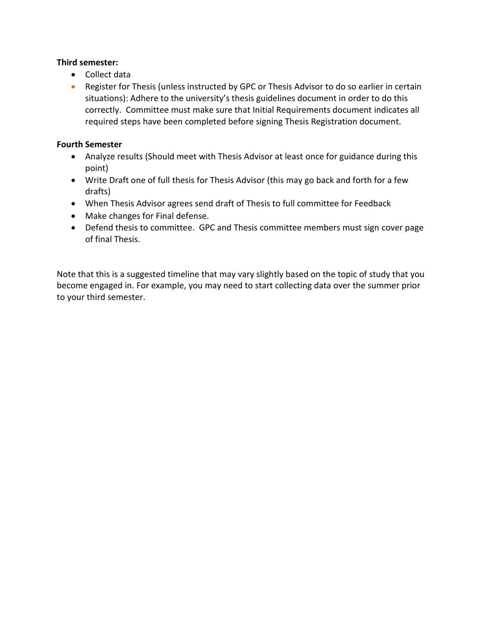### **Third semester:**

- Collect data
- Register for Thesis (unless instructed by GPC or Thesis Advisor to do so earlier in certain situations): Adhere to the university's thesis guidelines document in order to do this correctly. Committee must make sure that Initial Requirements document indicates all required steps have been completed before signing Thesis Registration document.

### **Fourth Semester**

- Analyze results (Should meet with Thesis Advisor at least once for guidance during this point)
- Write Draft one of full thesis for Thesis Advisor (this may go back and forth for a few drafts)
- When Thesis Advisor agrees send draft of Thesis to full committee for Feedback
- Make changes for Final defense.
- Defend thesis to committee. GPC and Thesis committee members must sign cover page of final Thesis.

Note that this is a suggested timeline that may vary slightly based on the topic of study that you become engaged in. For example, you may need to start collecting data over the summer prior to your third semester.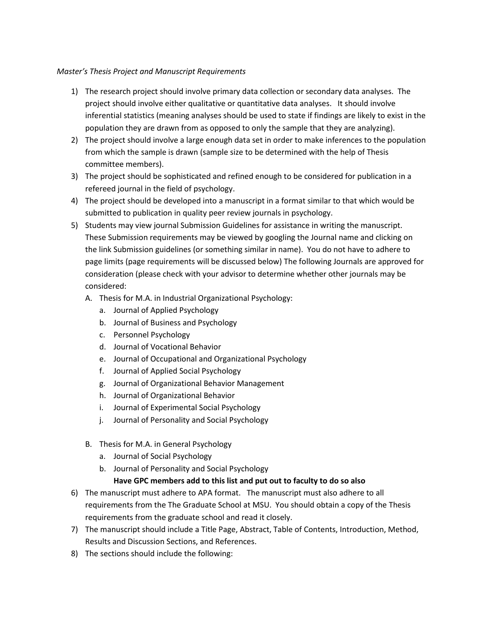#### *Master's Thesis Project and Manuscript Requirements*

- 1) The research project should involve primary data collection or secondary data analyses. The project should involve either qualitative or quantitative data analyses. It should involve inferential statistics (meaning analyses should be used to state if findings are likely to exist in the population they are drawn from as opposed to only the sample that they are analyzing).
- 2) The project should involve a large enough data set in order to make inferences to the population from which the sample is drawn (sample size to be determined with the help of Thesis committee members).
- 3) The project should be sophisticated and refined enough to be considered for publication in a refereed journal in the field of psychology.
- 4) The project should be developed into a manuscript in a format similar to that which would be submitted to publication in quality peer review journals in psychology.
- 5) Students may view journal Submission Guidelines for assistance in writing the manuscript. These Submission requirements may be viewed by googling the Journal name and clicking on the link Submission guidelines (or something similar in name). You do not have to adhere to page limits (page requirements will be discussed below) The following Journals are approved for consideration (please check with your advisor to determine whether other journals may be considered:
	- A. Thesis for M.A. in Industrial Organizational Psychology:
		- a. Journal of Applied Psychology
		- b. Journal of Business and Psychology
		- c. Personnel Psychology
		- d. Journal of Vocational Behavior
		- e. Journal of Occupational and Organizational Psychology
		- f. Journal of Applied Social Psychology
		- g. Journal of Organizational Behavior Management
		- h. Journal of Organizational Behavior
		- i. Journal of Experimental Social Psychology
		- j. Journal of Personality and Social Psychology
	- B. Thesis for M.A. in General Psychology
		- a. Journal of Social Psychology
		- b. Journal of Personality and Social Psychology

#### **Have GPC members add to this list and put out to faculty to do so also**

- 6) The manuscript must adhere to APA format. The manuscript must also adhere to all requirements from the The Graduate School at MSU. You should obtain a copy of the Thesis requirements from the graduate school and read it closely.
- 7) The manuscript should include a Title Page, Abstract, Table of Contents, Introduction, Method, Results and Discussion Sections, and References.
- 8) The sections should include the following: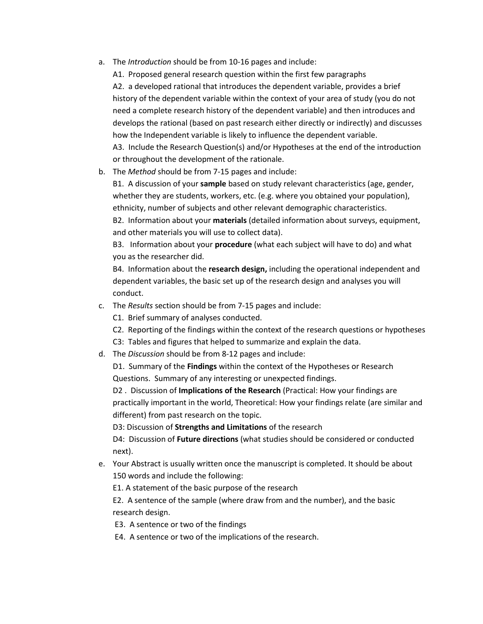a. The *Introduction* should be from 10-16 pages and include:

A1. Proposed general research question within the first few paragraphs A2. a developed rational that introduces the dependent variable, provides a brief history of the dependent variable within the context of your area of study (you do not need a complete research history of the dependent variable) and then introduces and develops the rational (based on past research either directly or indirectly) and discusses how the Independent variable is likely to influence the dependent variable. A3. Include the Research Question(s) and/or Hypotheses at the end of the introduction or throughout the development of the rationale.

b. The *Method* should be from 7-15 pages and include:

B1. A discussion of your **sample** based on study relevant characteristics (age, gender, whether they are students, workers, etc. (e.g. where you obtained your population), ethnicity, number of subjects and other relevant demographic characteristics.

B2. Information about your **materials** (detailed information about surveys, equipment, and other materials you will use to collect data).

B3. Information about your **procedure** (what each subject will have to do) and what you as the researcher did.

B4. Information about the **research design,** including the operational independent and dependent variables, the basic set up of the research design and analyses you will conduct.

- c. The *Results* section should be from 7-15 pages and include:
	- C1. Brief summary of analyses conducted.
	- C2. Reporting of the findings within the context of the research questions or hypotheses
	- C3: Tables and figures that helped to summarize and explain the data.
- d. The *Discussion* should be from 8-12 pages and include:

D1. Summary of the **Findings** within the context of the Hypotheses or Research Questions. Summary of any interesting or unexpected findings.

D2 . Discussion of **Implications of the Research** (Practical: How your findings are practically important in the world, Theoretical: How your findings relate (are similar and different) from past research on the topic.

D3: Discussion of **Strengths and Limitations** of the research

D4: Discussion of **Future directions** (what studies should be considered or conducted next).

e. Your Abstract is usually written once the manuscript is completed. It should be about 150 words and include the following:

E1. A statement of the basic purpose of the research

E2. A sentence of the sample (where draw from and the number), and the basic research design.

- E3. A sentence or two of the findings
- E4. A sentence or two of the implications of the research.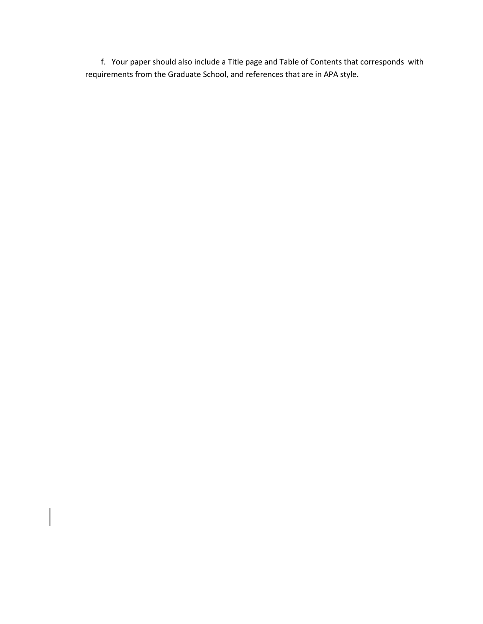f. Your paper should also include a Title page and Table of Contents that corresponds with requirements from the Graduate School, and references that are in APA style.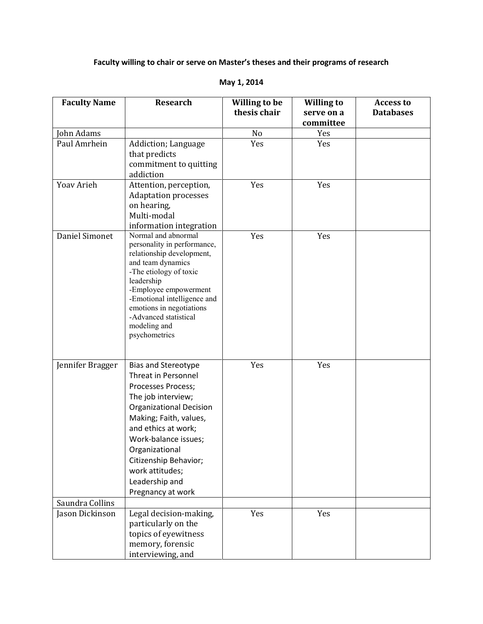# **Faculty willing to chair or serve on Master's theses and their programs of research**

| <b>Faculty Name</b> | <b>Research</b>                                                                                                                                                                                                                                                                                                      | <b>Willing to be</b><br>thesis chair | <b>Willing to</b><br>serve on a | <b>Access to</b><br><b>Databases</b> |
|---------------------|----------------------------------------------------------------------------------------------------------------------------------------------------------------------------------------------------------------------------------------------------------------------------------------------------------------------|--------------------------------------|---------------------------------|--------------------------------------|
|                     |                                                                                                                                                                                                                                                                                                                      |                                      | committee                       |                                      |
| John Adams          |                                                                                                                                                                                                                                                                                                                      | No                                   | Yes                             |                                      |
| Paul Amrhein        | Addiction; Language<br>that predicts<br>commitment to quitting<br>addiction                                                                                                                                                                                                                                          | Yes                                  | Yes                             |                                      |
| Yoav Arieh          | Attention, perception,<br><b>Adaptation processes</b><br>on hearing,<br>Multi-modal<br>information integration                                                                                                                                                                                                       | Yes                                  | Yes                             |                                      |
| Daniel Simonet      | Normal and abnormal<br>personality in performance,<br>relationship development,<br>and team dynamics<br>-The etiology of toxic<br>leadership<br>-Employee empowerment<br>-Emotional intelligence and<br>emotions in negotiations<br>-Advanced statistical<br>modeling and<br>psychometrics                           | Yes                                  | Yes                             |                                      |
| Jennifer Bragger    | <b>Bias and Stereotype</b><br><b>Threat in Personnel</b><br>Processes Process;<br>The job interview;<br><b>Organizational Decision</b><br>Making; Faith, values,<br>and ethics at work;<br>Work-balance issues;<br>Organizational<br>Citizenship Behavior;<br>work attitudes;<br>Leadership and<br>Pregnancy at work | Yes                                  | Yes                             |                                      |
| Saundra Collins     |                                                                                                                                                                                                                                                                                                                      |                                      |                                 |                                      |
| Jason Dickinson     | Legal decision-making,<br>particularly on the<br>topics of eyewitness<br>memory, forensic<br>interviewing, and                                                                                                                                                                                                       | Yes                                  | Yes                             |                                      |

### **May 1, 2014**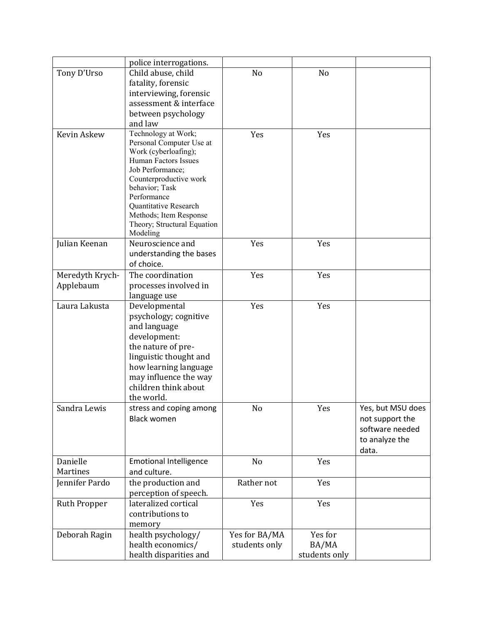|                     | police interrogations.                           |                |               |                   |
|---------------------|--------------------------------------------------|----------------|---------------|-------------------|
| Tony D'Urso         | Child abuse, child                               | N <sub>o</sub> | No            |                   |
|                     | fatality, forensic                               |                |               |                   |
|                     |                                                  |                |               |                   |
|                     | interviewing, forensic<br>assessment & interface |                |               |                   |
|                     |                                                  |                |               |                   |
|                     | between psychology                               |                |               |                   |
|                     | and law                                          |                |               |                   |
| Kevin Askew         | Technology at Work;                              | Yes            | Yes           |                   |
|                     | Personal Computer Use at                         |                |               |                   |
|                     | Work (cyberloafing);<br>Human Factors Issues     |                |               |                   |
|                     | Job Performance;                                 |                |               |                   |
|                     | Counterproductive work                           |                |               |                   |
|                     | behavior; Task                                   |                |               |                   |
|                     | Performance                                      |                |               |                   |
|                     | Quantitative Research                            |                |               |                   |
|                     | Methods; Item Response                           |                |               |                   |
|                     | Theory; Structural Equation                      |                |               |                   |
|                     | Modeling                                         |                |               |                   |
| Julian Keenan       | Neuroscience and                                 | Yes            | Yes           |                   |
|                     | understanding the bases                          |                |               |                   |
|                     | of choice.                                       |                |               |                   |
| Meredyth Krych-     | The coordination                                 | Yes            | Yes           |                   |
| Applebaum           | processes involved in                            |                |               |                   |
|                     | language use                                     |                |               |                   |
| Laura Lakusta       | Developmental                                    | Yes            | Yes           |                   |
|                     | psychology; cognitive                            |                |               |                   |
|                     | and language                                     |                |               |                   |
|                     | development:                                     |                |               |                   |
|                     | the nature of pre-                               |                |               |                   |
|                     | linguistic thought and                           |                |               |                   |
|                     | how learning language                            |                |               |                   |
|                     | may influence the way                            |                |               |                   |
|                     | children think about                             |                |               |                   |
|                     | the world.                                       |                |               |                   |
| Sandra Lewis        | stress and coping among                          | No             | Yes           | Yes, but MSU does |
|                     | <b>Black women</b>                               |                |               | not support the   |
|                     |                                                  |                |               | software needed   |
|                     |                                                  |                |               | to analyze the    |
|                     |                                                  |                |               | data.             |
| Danielle            | <b>Emotional Intelligence</b>                    | No             | Yes           |                   |
| Martines            | and culture.                                     |                |               |                   |
| Jennifer Pardo      | the production and                               | Rather not     | Yes           |                   |
|                     | perception of speech.                            |                |               |                   |
| <b>Ruth Propper</b> | lateralized cortical                             | Yes            | Yes           |                   |
|                     | contributions to                                 |                |               |                   |
|                     | memory                                           |                |               |                   |
| Deborah Ragin       | health psychology/                               | Yes for BA/MA  | Yes for       |                   |
|                     | health economics/                                | students only  | BA/MA         |                   |
|                     | health disparities and                           |                | students only |                   |
|                     |                                                  |                |               |                   |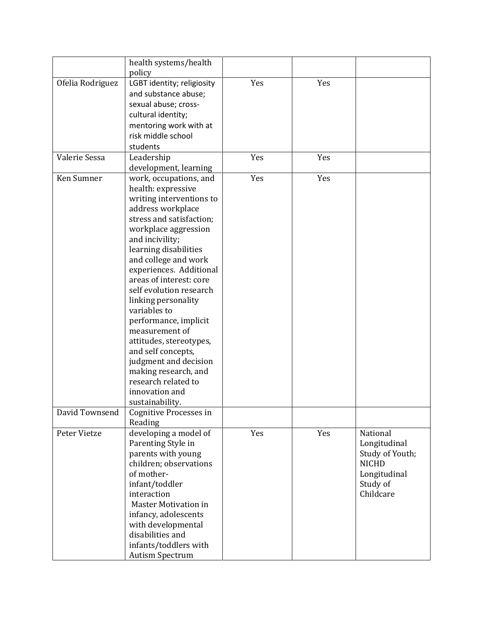|                  | health systems/health       |     |     |                 |
|------------------|-----------------------------|-----|-----|-----------------|
|                  | policy                      |     |     |                 |
| Ofelia Rodriguez | LGBT identity; religiosity  | Yes | Yes |                 |
|                  | and substance abuse;        |     |     |                 |
|                  |                             |     |     |                 |
|                  | sexual abuse; cross-        |     |     |                 |
|                  | cultural identity;          |     |     |                 |
|                  | mentoring work with at      |     |     |                 |
|                  | risk middle school          |     |     |                 |
|                  | students                    |     |     |                 |
| Valerie Sessa    | Leadership                  | Yes | Yes |                 |
|                  | development, learning       |     |     |                 |
| Ken Sumner       | work, occupations, and      | Yes | Yes |                 |
|                  | health: expressive          |     |     |                 |
|                  | writing interventions to    |     |     |                 |
|                  | address workplace           |     |     |                 |
|                  | stress and satisfaction;    |     |     |                 |
|                  | workplace aggression        |     |     |                 |
|                  | and incivility;             |     |     |                 |
|                  | learning disabilities       |     |     |                 |
|                  |                             |     |     |                 |
|                  | and college and work        |     |     |                 |
|                  | experiences. Additional     |     |     |                 |
|                  | areas of interest: core     |     |     |                 |
|                  | self evolution research     |     |     |                 |
|                  | linking personality         |     |     |                 |
|                  | variables to                |     |     |                 |
|                  | performance, implicit       |     |     |                 |
|                  | measurement of              |     |     |                 |
|                  | attitudes, stereotypes,     |     |     |                 |
|                  | and self concepts,          |     |     |                 |
|                  | judgment and decision       |     |     |                 |
|                  | making research, and        |     |     |                 |
|                  | research related to         |     |     |                 |
|                  | innovation and              |     |     |                 |
|                  | sustainability.             |     |     |                 |
| David Townsend   | Cognitive Processes in      |     |     |                 |
|                  | Reading                     |     |     |                 |
| Peter Vietze     | developing a model of       | Yes | Yes | National        |
|                  | Parenting Style in          |     |     | Longitudinal    |
|                  | parents with young          |     |     | Study of Youth; |
|                  | children; observations      |     |     | <b>NICHD</b>    |
|                  | of mother-                  |     |     | Longitudinal    |
|                  | infant/toddler              |     |     | Study of        |
|                  | interaction                 |     |     | Childcare       |
|                  | <b>Master Motivation in</b> |     |     |                 |
|                  | infancy, adolescents        |     |     |                 |
|                  | with developmental          |     |     |                 |
|                  | disabilities and            |     |     |                 |
|                  | infants/toddlers with       |     |     |                 |
|                  |                             |     |     |                 |
|                  | <b>Autism Spectrum</b>      |     |     |                 |